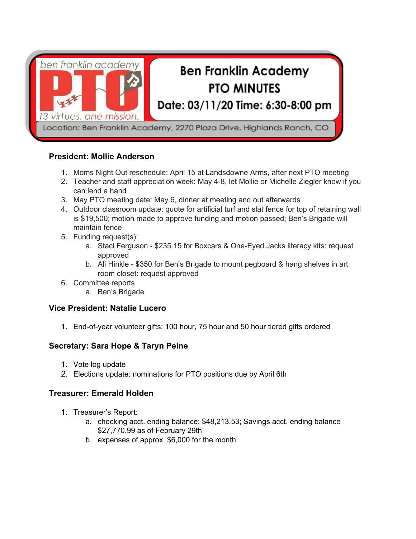

#### **President: Mollie Anderson**

- 1. Moms Night Out reschedule: April 15 at Landsdowne Arms, after next PTO meeting
- 2. Teacher and staff appreciation week: May 4-8, let Mollie or Michelle Ziegler know if you can lend a hand
- 3. May PTO meeting date: May 6, dinner at meeting and out afterwards
- 4. Outdoor classroom update: quote for artificial turf and slat fence for top of retaining wall is \$19,500; motion made to approve funding and motion passed; Ben's Brigade will maintain fence
- 5. Funding request(s):
	- a. Staci Ferguson \$235.15 for Boxcars & One-Eyed Jacks literacy kits: request approved
	- b. Ali Hinkle \$350 for Ben's Brigade to mount pegboard & hang shelves in art room closet: request approved
- 6. Committee reports
	- a. Ben's Brigade

#### **Vice President: Natalie Lucero**

1. End-of-year volunteer gifts: 100 hour, 75 hour and 50 hour tiered gifts ordered

# **Secretary: Sara Hope & Taryn Peine**

- 1. Vote log update
- 2. Elections update: nominations for PTO positions due by April 6th

#### **Treasurer: Emerald Holden**

- 1. Treasurer's Report:
	- a. checking acct. ending balance: \$48,213.53; Savings acct. ending balance \$27,770.99 as of February 29th
	- b. expenses of approx. \$6,000 for the month